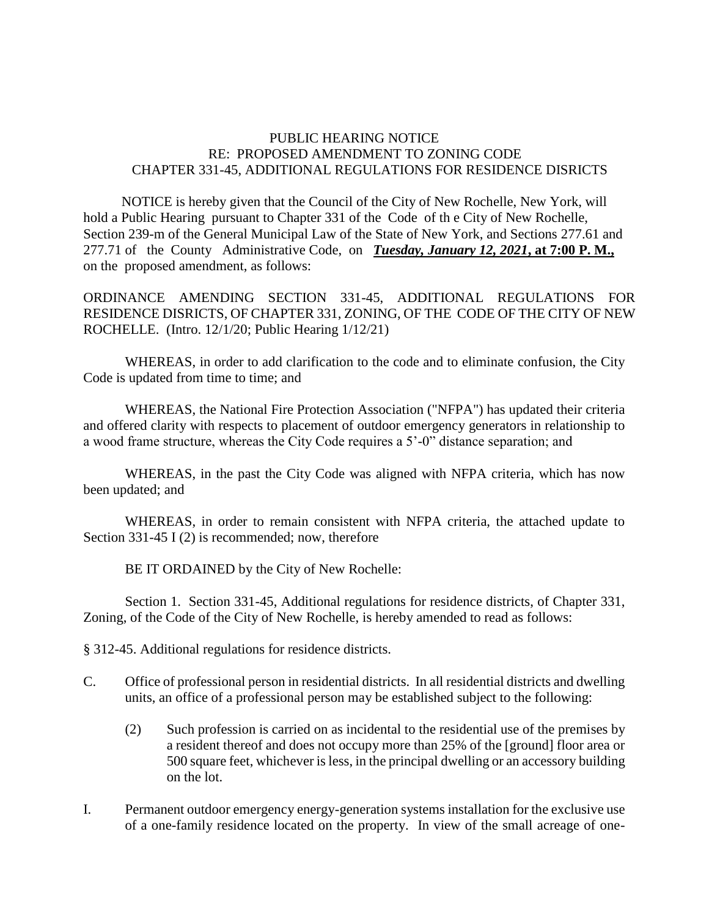## PUBLIC HEARING NOTICE RE: PROPOSED AMENDMENT TO ZONING CODE CHAPTER 331-45, ADDITIONAL REGULATIONS FOR RESIDENCE DISRICTS

 NOTICE is hereby given that the Council of the City of New Rochelle, New York, will hold a Public Hearing pursuant to Chapter 331 of the Code of th e City of New Rochelle, Section 239-m of the General Municipal Law of the State of New York, and Sections 277.61 and 277.71 of the County Administrative Code, on *Tuesday, January 12, 2021***, at 7:00 P. M.,** on the proposed amendment, as follows:

ORDINANCE AMENDING SECTION 331-45, ADDITIONAL REGULATIONS FOR RESIDENCE DISRICTS, OF CHAPTER 331, ZONING, OF THE CODE OF THE CITY OF NEW ROCHELLE. (Intro. 12/1/20; Public Hearing 1/12/21)

WHEREAS, in order to add clarification to the code and to eliminate confusion, the City Code is updated from time to time; and

WHEREAS, the National Fire Protection Association ("NFPA") has updated their criteria and offered clarity with respects to placement of outdoor emergency generators in relationship to a wood frame structure, whereas the City Code requires a 5'-0" distance separation; and

WHEREAS, in the past the City Code was aligned with NFPA criteria, which has now been updated; and

WHEREAS, in order to remain consistent with NFPA criteria, the attached update to Section 331-45 I (2) is recommended; now, therefore

BE IT ORDAINED by the City of New Rochelle:

Section 1. Section 331-45, Additional regulations for residence districts, of Chapter 331, Zoning, of the Code of the City of New Rochelle, is hereby amended to read as follows:

§ 312-45. Additional regulations for residence districts.

- C. Office of professional person in residential districts. In all residential districts and dwelling units, an office of a professional person may be established subject to the following:
	- (2) Such profession is carried on as incidental to the residential use of the premises by a resident thereof and does not occupy more than 25% of the [ground] floor area or 500 square feet, whichever is less, in the principal dwelling or an accessory building on the lot.
- I. Permanent outdoor emergency energy-generation systems installation for the exclusive use of a one-family residence located on the property. In view of the small acreage of one-